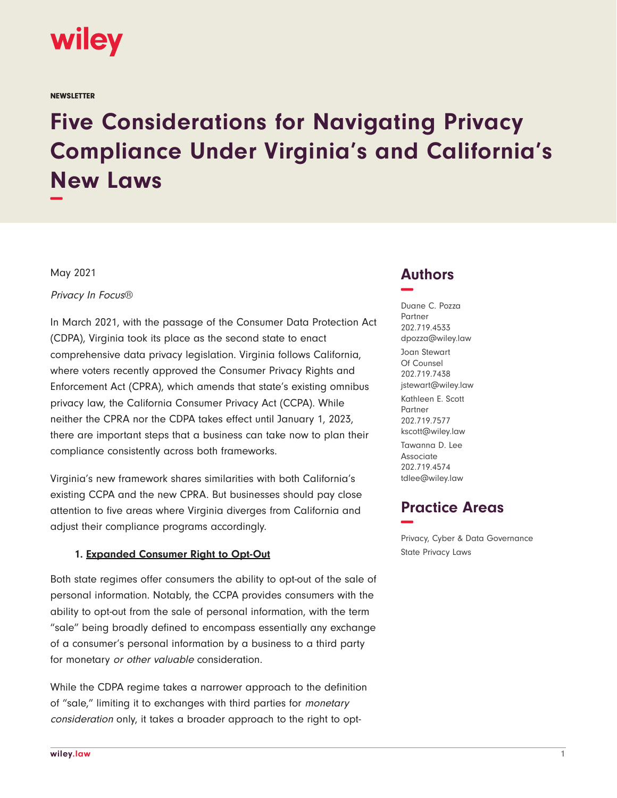

**NEWSLETTER** 

# **Five Considerations for Navigating Privacy Compliance Under Virginia's and California's New Laws −**

May 2021

Privacy In Focus®

In March 2021, with the passage of the Consumer Data Protection Act (CDPA), Virginia took its place as the second state to enact comprehensive data privacy legislation. Virginia follows California, where voters recently approved the Consumer Privacy Rights and Enforcement Act (CPRA), which amends that state's existing omnibus privacy law, the California Consumer Privacy Act (CCPA). While neither the CPRA nor the CDPA takes effect until January 1, 2023, there are important steps that a business can take now to plan their compliance consistently across both frameworks.

Virginia's new framework shares similarities with both California's existing CCPA and the new CPRA. But businesses should pay close attention to five areas where Virginia diverges from California and adjust their compliance programs accordingly.

#### **1. Expanded Consumer Right to Opt-Out**

Both state regimes offer consumers the ability to opt-out of the sale of personal information. Notably, the CCPA provides consumers with the ability to opt-out from the sale of personal information, with the term "sale" being broadly defined to encompass essentially any exchange of a consumer's personal information by a business to a third party for monetary or other valuable consideration.

While the CDPA regime takes a narrower approach to the definition of "sale," limiting it to exchanges with third parties for monetary consideration only, it takes a broader approach to the right to opt-

## **Authors −**

Duane C. Pozza Partner 202.719.4533 dpozza@wiley.law Joan Stewart Of Counsel 202.719.7438 jstewart@wiley.law Kathleen E. Scott Partner 202.719.7577 kscott@wiley.law Tawanna D. Lee Associate 202.719.4574 tdlee@wiley.law

## **Practice Areas −**

Privacy, Cyber & Data Governance State Privacy Laws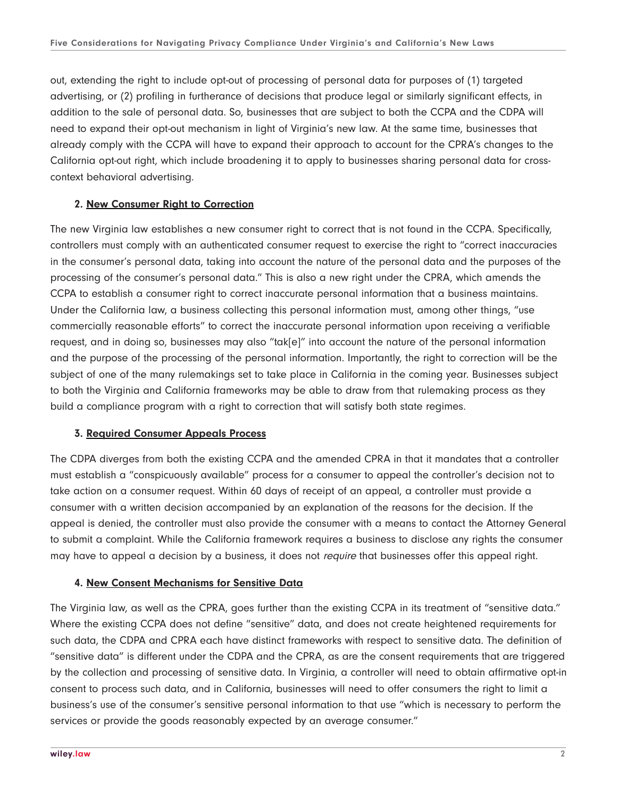out, extending the right to include opt-out of processing of personal data for purposes of (1) targeted advertising, or (2) profiling in furtherance of decisions that produce legal or similarly significant effects, in addition to the sale of personal data. So, businesses that are subject to both the CCPA and the CDPA will need to expand their opt-out mechanism in light of Virginia's new law. At the same time, businesses that already comply with the CCPA will have to expand their approach to account for the CPRA's changes to the California opt-out right, which include broadening it to apply to businesses sharing personal data for crosscontext behavioral advertising.

#### **2. New Consumer Right to Correction**

The new Virginia law establishes a new consumer right to correct that is not found in the CCPA. Specifically, controllers must comply with an authenticated consumer request to exercise the right to "correct inaccuracies in the consumer's personal data, taking into account the nature of the personal data and the purposes of the processing of the consumer's personal data." This is also a new right under the CPRA, which amends the CCPA to establish a consumer right to correct inaccurate personal information that a business maintains. Under the California law, a business collecting this personal information must, among other things, "use commercially reasonable efforts" to correct the inaccurate personal information upon receiving a verifiable request, and in doing so, businesses may also "tak[e]" into account the nature of the personal information and the purpose of the processing of the personal information. Importantly, the right to correction will be the subject of one of the many rulemakings set to take place in California in the coming year. Businesses subject to both the Virginia and California frameworks may be able to draw from that rulemaking process as they build a compliance program with a right to correction that will satisfy both state regimes.

#### **3. Required Consumer Appeals Process**

The CDPA diverges from both the existing CCPA and the amended CPRA in that it mandates that a controller must establish a "conspicuously available" process for a consumer to appeal the controller's decision not to take action on a consumer request. Within 60 days of receipt of an appeal, a controller must provide a consumer with a written decision accompanied by an explanation of the reasons for the decision. If the appeal is denied, the controller must also provide the consumer with a means to contact the Attorney General to submit a complaint. While the California framework requires a business to disclose any rights the consumer may have to appeal a decision by a business, it does not *require* that businesses offer this appeal right.

#### **4. New Consent Mechanisms for Sensitive Data**

The Virginia law, as well as the CPRA, goes further than the existing CCPA in its treatment of "sensitive data." Where the existing CCPA does not define "sensitive" data, and does not create heightened requirements for such data, the CDPA and CPRA each have distinct frameworks with respect to sensitive data. The definition of "sensitive data" is different under the CDPA and the CPRA, as are the consent requirements that are triggered by the collection and processing of sensitive data. In Virginia, a controller will need to obtain affirmative opt-in consent to process such data, and in California, businesses will need to offer consumers the right to limit a business's use of the consumer's sensitive personal information to that use "which is necessary to perform the services or provide the goods reasonably expected by an average consumer."